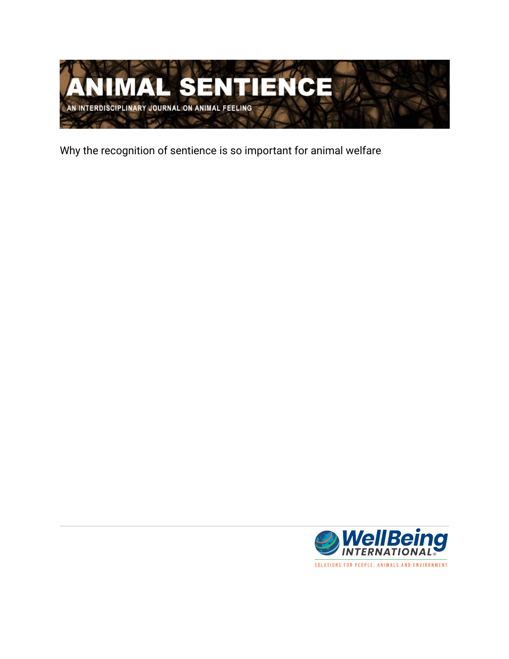

Why the recognition of sentience is so important for animal welfare

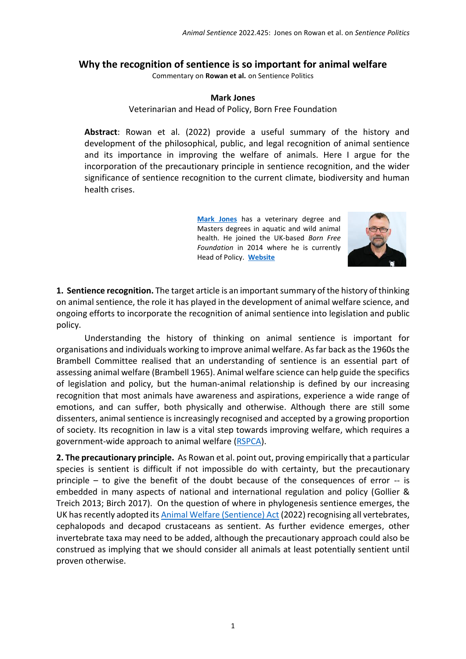## **Why the recognition of sentience is so important for animal welfare**

Commentary on **Rowan et al.** on Sentience Politics

## **Mark Jones**

Veterinarian and Head of Policy, Born Free Foundation

**Abstract**: Rowan et al. (2022) provide a useful summary of the history and development of the philosophical, public, and legal recognition of animal sentience and its importance in improving the welfare of animals. Here I argue for the incorporation of the precautionary principle in sentience recognition, and the wider significance of sentience recognition to the current climate, biodiversity and human health crises.

> **[Mark Jones](mailto:markj@bornfree.org.uk)** has a veterinary degree and Masters degrees in aquatic and wild animal health. He joined the UK-based *Born Free Foundation* in 2014 where he is currently Head of Policy. **[Website](http://www.bornfree.org.uk/)**



**1. Sentience recognition.** The target article is an important summary of the history of thinking on animal sentience, the role it has played in the development of animal welfare science, and ongoing efforts to incorporate the recognition of animal sentience into legislation and public policy.

Understanding the history of thinking on animal sentience is important for organisations and individuals working to improve animal welfare. As far back as the 1960s the Brambell Committee realised that an understanding of sentience is an essential part of assessing animal welfare (Brambell 1965). Animal welfare science can help guide the specifics of legislation and policy, but the human-animal relationship is defined by our increasing recognition that most animals have awareness and aspirations, experience a wide range of emotions, and can suffer, both physically and otherwise. Although there are still some dissenters, animal sentience is increasingly recognised and accepted by a growing proportion of society. Its recognition in law is a vital step towards improving welfare, which requires a government-wide approach to animal welfare [\(RSPCA\)](https://science.rspca.org.uk/sciencegroup/sentience).

**2. The precautionary principle.** As Rowan et al. point out, proving empirically that a particular species is sentient is difficult if not impossible do with certainty, but the precautionary principle – to give the benefit of the doubt because of the consequences of error -- is embedded in many aspects of national and international regulation and policy (Gollier & Treich 2013; Birch 2017). On the question of where in phylogenesis sentience emerges, the UK has recently adopted its [Animal Welfare \(Sentience\) Act](https://committees.parliament.uk/work/1274/animal-welfare-sentience-bill/) (2022) recognising all vertebrates, cephalopods and decapod crustaceans as sentient. As further evidence emerges, other invertebrate taxa may need to be added, although the precautionary approach could also be construed as implying that we should consider all animals at least potentially sentient until proven otherwise.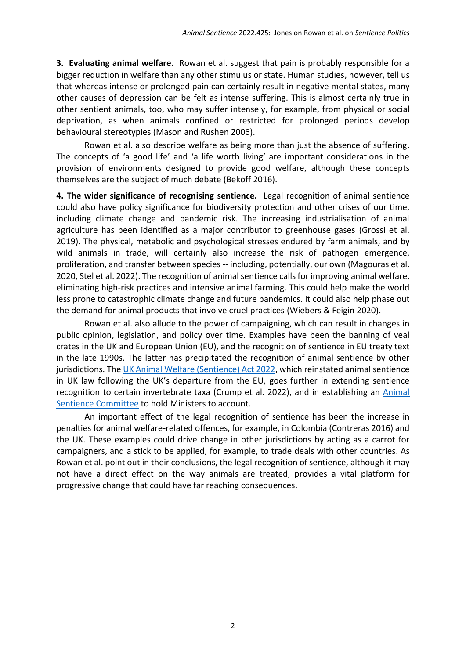**3. Evaluating animal welfare.** Rowan et al. suggest that pain is probably responsible for a bigger reduction in welfare than any other stimulus or state. Human studies, however, tell us that whereas intense or prolonged pain can certainly result in negative mental states, many other causes of depression can be felt as intense suffering. This is almost certainly true in other sentient animals, too, who may suffer intensely, for example, from physical or social deprivation, as when animals confined or restricted for prolonged periods develop behavioural stereotypies (Mason and Rushen 2006).

Rowan et al. also describe welfare as being more than just the absence of suffering. The concepts of 'a good life' and 'a life worth living' are important considerations in the provision of environments designed to provide good welfare, although these concepts themselves are the subject of much debate (Bekoff 2016).

**4. The wider significance of recognising sentience.** Legal recognition of animal sentience could also have policy significance for biodiversity protection and other crises of our time, including climate change and pandemic risk. The increasing industrialisation of animal agriculture has been identified as a major contributor to greenhouse gases (Grossi et al. 2019). The physical, metabolic and psychological stresses endured by farm animals, and by wild animals in trade, will certainly also increase the risk of pathogen emergence, proliferation, and transfer between species -- including, potentially, our own (Magouras et al. 2020, Stel et al. 2022). The recognition of animal sentience callsfor improving animal welfare, eliminating high-risk practices and intensive animal farming. This could help make the world less prone to catastrophic climate change and future pandemics. It could also help phase out the demand for animal products that involve cruel practices (Wiebers & Feigin 2020).

Rowan et al. also allude to the power of campaigning, which can result in changes in public opinion, legislation, and policy over time. Examples have been the banning of veal crates in the UK and European Union (EU), and the recognition of sentience in EU treaty text in the late 1990s. The latter has precipitated the recognition of animal sentience by other jurisdictions. The [UK Animal Welfare \(Sentience\) Act 2022,](https://committees.parliament.uk/work/1274/animal-welfare-sentience-bill/) which reinstated animal sentience in UK law following the UK's departure from the EU, goes further in extending sentience recognition to certain invertebrate taxa (Crump et al. 2022), and in establishing an [Animal](https://committees.parliament.uk/work/1274/animal-welfare-sentience-bill/)  [Sentience Committee](https://committees.parliament.uk/work/1274/animal-welfare-sentience-bill/) to hold Ministers to account.

An important effect of the legal recognition of sentience has been the increase in penalties for animal welfare-related offences, for example, in Colombia (Contreras 2016) and the UK. These examples could drive change in other jurisdictions by acting as a carrot for campaigners, and a stick to be applied, for example, to trade deals with other countries. As Rowan et al. point out in their conclusions, the legal recognition of sentience, although it may not have a direct effect on the way animals are treated, provides a vital platform for progressive change that could have far reaching consequences.